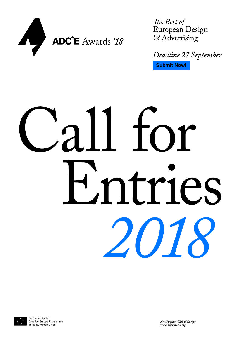

The Best of European Design & Advertising

Deadline 27 September **Submit Now!** 

# Call for Hintries 2018

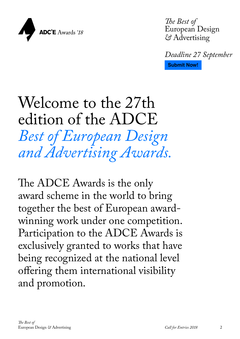

*The Best of*  European Design *&* Advertising

*Deadline 27 September* **[Submit Now!](http://adce.submit.to)**

### Welcome to the 27th edition of the ADCE *Best of European Design and Advertising Awards.*

The ADCE Awards is the only award scheme in the world to bring together the best of European awardwinning work under one competition. Participation to the ADCE Awards is exclusively granted to works that have being recognized at the national level offering them international visibility and promotion.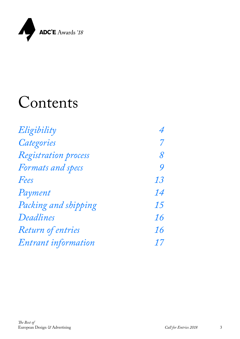

### Contents

| Eligibility          | 4  |
|----------------------|----|
| Categories           | 7  |
| Registration process | 8  |
| Formats and specs    | 9  |
| Fees                 | 13 |
| Payment              | 14 |
| Packing and shipping | 15 |
| Deadlines            | 16 |
| Return of entries    | 16 |
| Entrant information  | 17 |
|                      |    |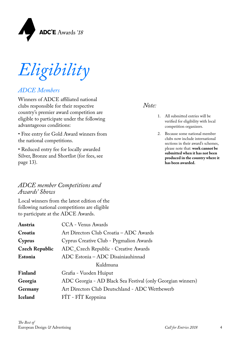<span id="page-3-0"></span>

*Eligibility*

### *ADCE Members*

Winners of ADCE affiliated national clubs responsible for their respective country's premier award competition are eligible to participate under the following advantageous conditions:

• Free entry for Gold Award winners from the national competitions.

• Reduced entry fee for locally awarded Silver, Bronze and Shortlist (for fees, see page 13).

### *ADCE member Competitions and Awards' Shows*

Local winners from the latest edition of the following national competitions are eligible to participate at the ADCE Awards.

| Austria               | CCA - Venus Awards                                          |  |
|-----------------------|-------------------------------------------------------------|--|
| Croatia               | Art Directors Club Croatia - ADC Awards                     |  |
| Cyprus                | Cyprus Creative Club - Pygmalion Awards                     |  |
| <b>Czech Republic</b> | ADC_Czech Republic - Creative Awards                        |  |
| Estonia               | ADC Estonia - ADC Disainiauhinnad                           |  |
| Kuldmuna              |                                                             |  |
| Finland               | Grafia - Vuoden Huiput                                      |  |
| Georgia               | ADC Georgia - AD Black Sea Festival (only Georgian winners) |  |
| Germany               | Art Directors Club Deutschland - ADC Wettbewerb             |  |
| <b>Iceland</b>        | FÍT - FÍT Keppnina                                          |  |

### *Note:*

- 1. All submitted entries will be verified for eligibility with local competition organizers.
- 2. Because some national member clubs now include international sections in their award's schemes, please note that: **work cannot be submitted when it has not been produced in the country where it has been awarded.**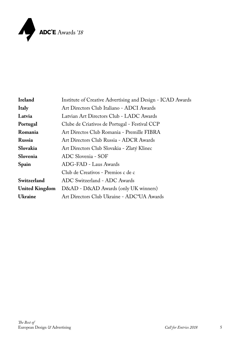

| Ireland               | Institute of Creative Advertising and Design - ICAD Awards |  |
|-----------------------|------------------------------------------------------------|--|
| <b>Italy</b>          | Art Directors Club Italiano - ADCI Awards                  |  |
| Latvia                | Latvian Art Directors Club - LADC Awards                   |  |
| Portugal              | Clube de Criativos de Portugal - Festival CCP              |  |
| Romania               | Art Directos Club Romania - Premille FIBRA                 |  |
| Russia                | Art Directors Club Russia - ADCR Awards                    |  |
| Slovakia              | Art Directors Club Slovakia - Zlatý Klinec                 |  |
| Slovenia              | ADC Slovenia - SOF                                         |  |
| Spain                 | ADG-FAD - Laus Awards                                      |  |
|                       | Club de Creativos - Premios c de c                         |  |
| Switzerland           | ADC Switzerland - ADC Awards                               |  |
| <b>United Kingdom</b> | D&AD - D&AD Awards (only UK winners)                       |  |
| <b>Ukraine</b>        | Art Directors Club Ukraine - ADC*UA Awards                 |  |
|                       |                                                            |  |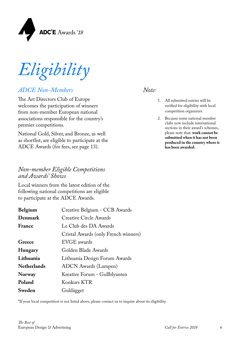

*Eligibility*

### *ADCE Non-Members*

The Art Directors Club of Europe welcomes the participation of winners from non-member European national associations responsible for the country's premier competitions.

National Gold, Silver, and Bronze, as well as shortlist, are eligible to participate at the ADCE Awards (for fees, see page 13).

### *Non-member Eligible Competitions and Awards' Shows*

Local winners from the latest edition of the following national competitions are eligible to participate at the ADCE Awards.

| Creative Belgium - CCB Awards        |
|--------------------------------------|
| <b>Creative Circle Awards</b>        |
| Le Club des DA Awards                |
| Cristal Awards (only French winners) |
| EVGE awards                          |
| Golden Blade Awards                  |
| Lithuania Design Forum Awards        |
| <b>ADCN</b> Awards (Lampen)          |
| Kreative Forum - Gullblyanten        |
| Konkurs KTR                          |
| Guldägget                            |
|                                      |

#### \*If your local competition is not listed above, please contact us to inquire about its eligibility.

### *Note:*

- 1. All submitted entries will be verified for eligibility with local competition organizers.
- 2. Because some national member clubs now include international sections in their award's schemes, please note that: **work cannot be submitted when it has not been produced in the country where it has been awarded.**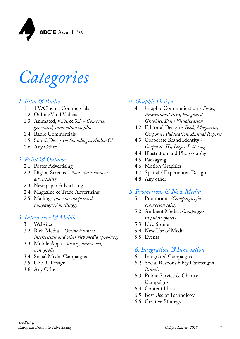<span id="page-6-0"></span>

*Categories*

### *1. Film & Radio*

- 1.1 TV/Cinema Commercials
- 1.2 Online/Viral Videos
- 1.3 Animated, VFX & 3D *Computer generated, innovation in film*
- 1.4 Radio Commercials
- 1.5 Sound Design *Soundlogos, Audio-CI*
- 1.6 Any Other

### *2. Print & Outdoor*

- 2.1 Poster Advertising
- 2.2 Digital Screens *Non-static outdoor advertising*
- 2.3 Newspaper Advertising
- 2.4 Magazine & Trade Advertising
- 2.5 Mailings *(one-to-one printed campaigns / mailings)*

### *3. Interactive & Mobile*

- 3.1 Websites
- 3.2 Rich Media *Online banners, interstitials and other rich media (pop-ups)*
- 3.3 Mobile Apps *utility, brand-led, non-profit*
- 3.4 Social Media Campaigns
- 3.5 UX/UI Design
- 3.6 Any Other

### *4. Graphic Design*

- 4.1 Graphic Communication *Poster, Promotional Item, Integrated Graphics, Data Visualization*
- 4.2 Editorial Design *Book, Magazine, Corporate Publication, Annual Reports*
- 4.3 Corporate Brand Identity *Corporate ID, Logos, Lettering*
- 4.4 Illustration and Photography
- 4.5 Packaging
- 4.6 Motion Graphics
- 4.7 Spatial / Experiential Design
- 4.8 Any other

### *5. Promotions & New Media*

- 5.1 Promotions *(Campaigns for promotion sales)*
- 5.2 Ambient Media *(Campaigns in public spaces)*
- 5.3 Live Stunts
- 5.4 New Use of Media
- 5.5 Events

### *6. Integration & Innovation*

- 6.1 Integrated Campaigns
- 6.2 Social Responsibility Campaigns *Brands*
- 6.3 Public Service & Charity Campaigns
- 6.4 Content Ideas
- 6.5 Best Use of Technology
- 6.6 Creative Strategy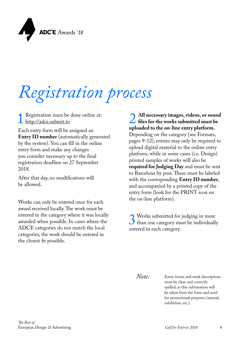<span id="page-7-0"></span>

## *Registration process*

Registration must be done online at: <http://adce.submit.to>

Each entry form will be assigned an **Entry ID number** (automatically generated by the system). You can fill in the online entry form and make any changes you consider necessary up to the final registration deadline on 27 September 2018.

After that day, no modifications will be allowed.

Works can only be entered once for each award received locally. The work must be entered in the category where it was locally awarded when possible. In cases where the ADCE categories do not match the local categories, the work should be entered in the closest fit possible.

**2** All necessary images, videos, or sound<br>files for the works submitted must be<br>uploaded to the on-line entry platform. **files for the works submitted must be uploaded to the on-line entry platform.**  Depending on the category (see Formats, pages 9-12), entries may only be required to upload digital material to the online entry platform, while in some cases (i.e. Design) printed samples of works will also be **required for Judging Day** and must be sent to Barcelona by post. These must be labeled with the corresponding **Entry ID number**, and accompanied by a printed copy of the entry form (look for the PRINT icon on the on-line platform).

S Works submitted for judging in more<br>than one category must be individually<br>entered in each category than one category must be individually entered in each category.

*Note:*

Entry forms and work descriptions must be clear and correctly spelled, as this information will be taken from the form and used for promotional purposes (annual, exhibition, etc.).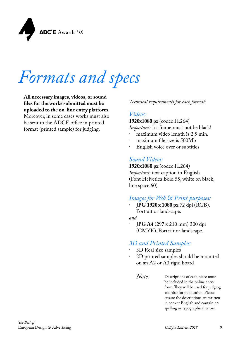<span id="page-8-0"></span>

### *Formats and specs*

**All necessary images, videos, or sound files for the works submitted must be uploaded to the on-line entry platform.** Moreover, in some cases works must also be sent to the ADCE office in printed format (printed sample) for judging.

### *Technical requirements for each format:*

### *Videos:*

**1920x1080 px** (codec H.264)

*Important:* 1st frame must not be black!

- maximum video length is 2,5 min.
- maximum file size is 500Mb
- English voice over or subtitles

### *Sound Videos:*

**1920x1080 px** (codec H.264) *Important*: text caption in English (Font Helvetica Bold 55, white on black, line space 60).

### *Images for Web & Print purposes:*

· **JPG 1920 x 1080 px** 72 dpi (RGB). Portrait or landscape.

*and*

· **JPG A4** (297 x 210 mm) 300 dpi (CMYK). Portrait or landscape.

### *3D and Printed Samples:*

- · 3D Real size samples
- 2D printed samples should be mounted on an A2 or A3 rigid board
	- Descriptions of each piece must be included in the online entry form. They will be used for judging and also for publication. Please ensure the descriptions are written in correct English and contain no spelling or typographical errors. *Note:*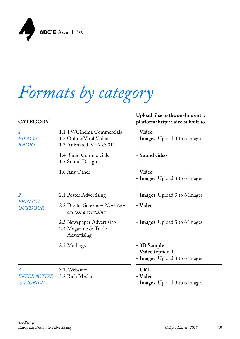

### *Formats by category*

| <b>CATEGORY</b>                                       |                                                                                | Upload files to the on-line entry<br>platform: http://adce.submit.to |
|-------------------------------------------------------|--------------------------------------------------------------------------------|----------------------------------------------------------------------|
| 1<br>FILM &<br><b>RADIO</b>                           | 1.1 TV/Cinema Commercials<br>1.2 Online/Viral Videos<br>1.3 Animated, VFX & 3D | - Video<br>- <b>Images:</b> Upload 3 to 6 images                     |
|                                                       | 1.4 Radio Commercials<br>1.5 Sound Design                                      | - Sound video                                                        |
|                                                       | 1.6 Any Other                                                                  | - Video<br>- Images: Upload 3 to 6 images                            |
| $\overline{2}$<br><b>PRINT</b> &<br><b>OUTDOOR</b>    | 2.1 Poster Advertising                                                         | - <b>Images:</b> Upload 3 to 6 images                                |
|                                                       | 2.2 Digital Screens - Non-static<br>outdoor advertising                        | - Video                                                              |
|                                                       | 2.3 Newspaper Advertising<br>2.4 Magazine & Trade<br>Advertising               | - <b>Images:</b> Upload 3 to 6 images                                |
|                                                       | 2.5 Mailings                                                                   | - 3D Sample<br>- Video (optional)<br>- Images: Upload 3 to 6 images  |
| 3<br><i><b>INTERACTIVE</b></i><br><b>&amp; MOBILE</b> | 3.1. Websites<br>3.2 Rich Media                                                | - URL<br>- Video<br>- <b>Images:</b> Upload 3 to 6 images            |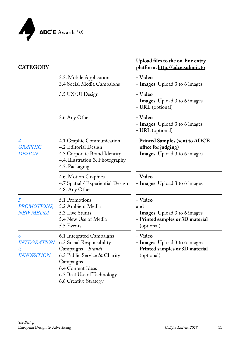

| <b>CATEGORY</b>                                           |                                                                                                                                                                                                             | Upload files to the on-line entry<br>platform: http://adce.submit.to                               |
|-----------------------------------------------------------|-------------------------------------------------------------------------------------------------------------------------------------------------------------------------------------------------------------|----------------------------------------------------------------------------------------------------|
|                                                           | 3.3. Mobile Applications<br>3.4 Social Media Campaigns                                                                                                                                                      | - Video<br>- <b>Images:</b> Upload 3 to 6 images                                                   |
|                                                           | 3.5 UX/UI Design                                                                                                                                                                                            | - Video<br>- <b>Images:</b> Upload 3 to 6 images<br>- <b>URL</b> (optional)                        |
|                                                           | 3.6 Any Other                                                                                                                                                                                               | - Video<br>- Images: Upload 3 to 6 images<br>- <b>URL</b> (optional)                               |
| 4<br><b>GRAPHIC</b><br><b>DESIGN</b>                      | 4.1 Graphic Communication<br>4.2 Editorial Design<br>4.3 Corporate Brand Identity<br>4.4. Illustration & Photography<br>4.5. Packaging                                                                      | - Printed Samples (sent to ADCE<br>office for judging)<br>- Images: Upload 3 to 6 images           |
|                                                           | 4.6. Motion Graphics<br>4.7 Spatial / Experiential Design<br>4.8. Any Other                                                                                                                                 | - Video<br>- <b>Images:</b> Upload 3 to 6 images                                                   |
| 5<br>PROMOTIONS,<br><b>NEW MEDIA</b>                      | 5.1 Promotions<br>5.2 Ambient Media<br>5.3 Live Stunts<br>5.4 New Use of Media<br>5.5 Events                                                                                                                | - Video<br>and<br>- Images: Upload 3 to 6 images<br>- Printed samples or 3D material<br>(optional) |
| 6<br><i><b>INTEGRATION</b></i><br>හි<br><b>INNOVATION</b> | 6.1 Integrated Campaigns<br>6.2 Social Responsibility<br>Campaigns - Brands<br>6.3 Public Service & Charity<br>Campaigns<br>6.4 Content Ideas<br>6.5 Best Use of Technology<br><b>6.6 Creative Strategy</b> | - Video<br>- Images: Upload 3 to 6 images<br>- Printed samples or 3D material<br>(optional)        |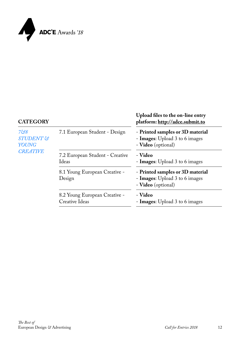

#### **CATEGORY Upload files to the on-line entry platform:<http://adce.submit.to>** *7&8 STUDENT & YOUNG CREATIVE* 7.1 European Student - Design - Printed samples or 3D material - **Images**: Upload 3 to 6 images - **Video** (optional) 7.2 European Student - Creative Ideas - **Video** - **Images**: Upload 3 to 6 images 8.1 Young European Creative - Design - **Printed samples or 3D material** - **Images**: Upload 3 to 6 images - **Video** (optional) 8.2 Young European Creative - Creative Ideas - **Video** - **Images**: Upload 3 to 6 images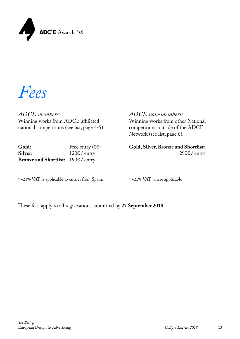<span id="page-12-0"></span>

*Fees*

*ADCE members:* Winning works from ADCE affiliated national competitions (see list, page 4-5).

| Gold:                              | Free entry $(0)$       |
|------------------------------------|------------------------|
| <b>Silver:</b>                     | $120 \text{E}$ / entry |
| Bronze and Shortlist: 190€ / entry |                        |

\* +21% VAT is applicable to entries from Spain.

*ADCE non-members:*

Winning works from other National competitions outside of the ADCE Network (see list, page 6).

**Gold, Silver, Bronze and Shortlist**: 290€ / entry

\* +21% VAT where applicable

These fees apply to all registrations submitted by **27 September 2018.**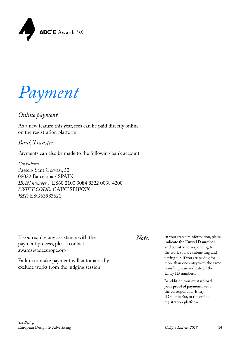<span id="page-13-0"></span>

*Payment*

### *Online payment*

As a new feature this year, fees can be paid directly online on the registration platform.

### *Bank Transfer*

Payments can also be made to the following bank account:

*Caixabank* Passeig Sant Gervasi, 52 08022 Barcelona / SPAIN *IBAN number :* ES60 2100 3084 8322 0038 4200 *SWIFT CODE:* CAIXESBBXXX *VAT:* ESG63983621

If you require any assistance with the *Note:* payment process, please contact awards@adceurope.org

Failure to make payment will automatically exclude works from the judging session.

In your transfer information, please **indicate the Entry ID number and country** corresponding to the work you are submitting and paying for. If you are paying for more than one entry with the same transfer, please indicate all the Entry ID numbers.

In addition, you must **upload your proof of payment**, with the corresponding Entry ID number(s), to the online registration platform.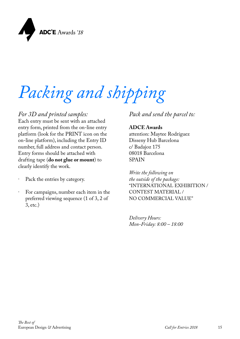<span id="page-14-0"></span>

# *Packing and shipping*

### *For 3D and printed samples:*

Each entry must be sent with an attached entry form, printed from the on-line entry platform (look for the PRINT icon on the on-line platform), including the Entry ID number, full address and contact person. Entry forms should be attached with drafting tape (**do not glue or mount**) to clearly identify the work.

- Pack the entries by category.
- For campaigns, number each item in the preferred viewing sequence (1 of 3, 2 of 3, etc.)

*Pack and send the parcel to:* 

### **ADCE Awards**

attention: Maytee Rodríguez Disseny Hub Barcelona c/ Badajoz 175 08018 Barcelona SPAIN

*Write the following on the outside of the package:* "INTERNATIONAL EXHIBITION / CONTEST MATERIAL / NO COMMERCIAL VALUE"

*Delivery Hours: Mon-Friday: 8:00 – 18:00*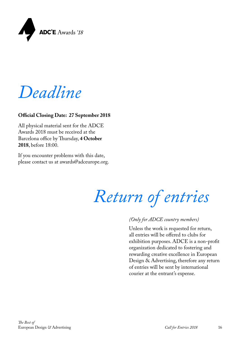

*Deadline*

### **Official Closing Date: 27 September 2018**

All physical material sent for the ADCE Awards 2018 must be received at the Barcelona office by Thursday, **4 October 2018**, before 18:00.

If you encounter problems with this date, please contact us at awards@adceurope.org.

*Return of entries* 

#### *(Only for ADCE country members)*

Unless the work is requested for return, all entries will be offered to clubs for exhibition purposes. ADCE is a non-profit organization dedicated to fostering and rewarding creative excellence in European Design & Advertising, therefore any return of entries will be sent by international courier at the entrant's expense.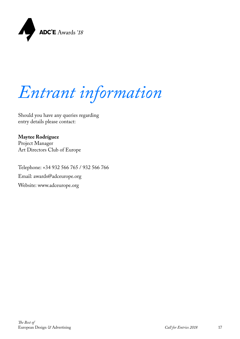<span id="page-16-0"></span>

*Entrant information*

Should you have any queries regarding entry details please contact:

**Maytee Rodríguez** Project Manager Art Directors Club of Europe

Telephone: +34 932 566 765 / 932 566 766 Email: [awards@adceurope.org](mailto:awards%40adceurope.org?subject=) Website: [www.adceurope.org](http://www.adceurope.org)